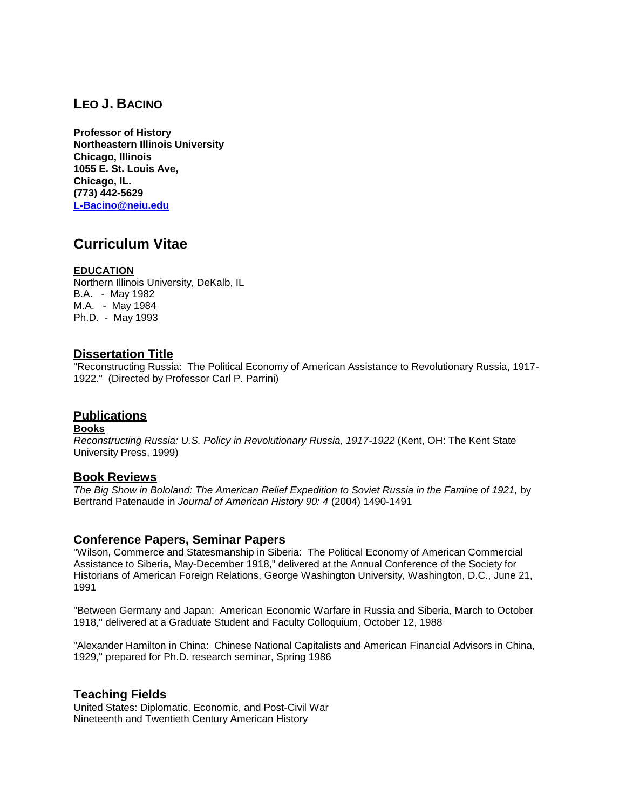# **LEO J. BACINO**

**Professor of History Northeastern Illinois University Chicago, Illinois 1055 E. St. Louis Ave, Chicago, IL. (773) 442-5629 [L-Bacino@neiu.edu](mailto:L-Bacino@neiu.edu)**

# **Curriculum Vitae**

#### **EDUCATION**

Northern Illinois University, DeKalb, IL B.A. - May 1982 M.A. - May 1984 Ph.D. - May 1993

### **Dissertation Title**

"Reconstructing Russia: The Political Economy of American Assistance to Revolutionary Russia, 1917- 1922." (Directed by Professor Carl P. Parrini)

### **Publications**

#### **Books**

*Reconstructing Russia: U.S. Policy in Revolutionary Russia, 1917-1922* (Kent, OH: The Kent State University Press, 1999)

### **Book Reviews**

*The Big Show in Bololand: The American Relief Expedition to Soviet Russia in the Famine of 1921,* by Bertrand Patenaude in *Journal of American History 90: 4* (2004) 1490-1491

### **Conference Papers, Seminar Papers**

"Wilson, Commerce and Statesmanship in Siberia: The Political Economy of American Commercial Assistance to Siberia, May-December 1918," delivered at the Annual Conference of the Society for Historians of American Foreign Relations, George Washington University, Washington, D.C., June 21, 1991

"Between Germany and Japan: American Economic Warfare in Russia and Siberia, March to October 1918," delivered at a Graduate Student and Faculty Colloquium, October 12, 1988

"Alexander Hamilton in China: Chinese National Capitalists and American Financial Advisors in China, 1929," prepared for Ph.D. research seminar, Spring 1986

### **Teaching Fields**

United States: Diplomatic, Economic, and Post-Civil War Nineteenth and Twentieth Century American History